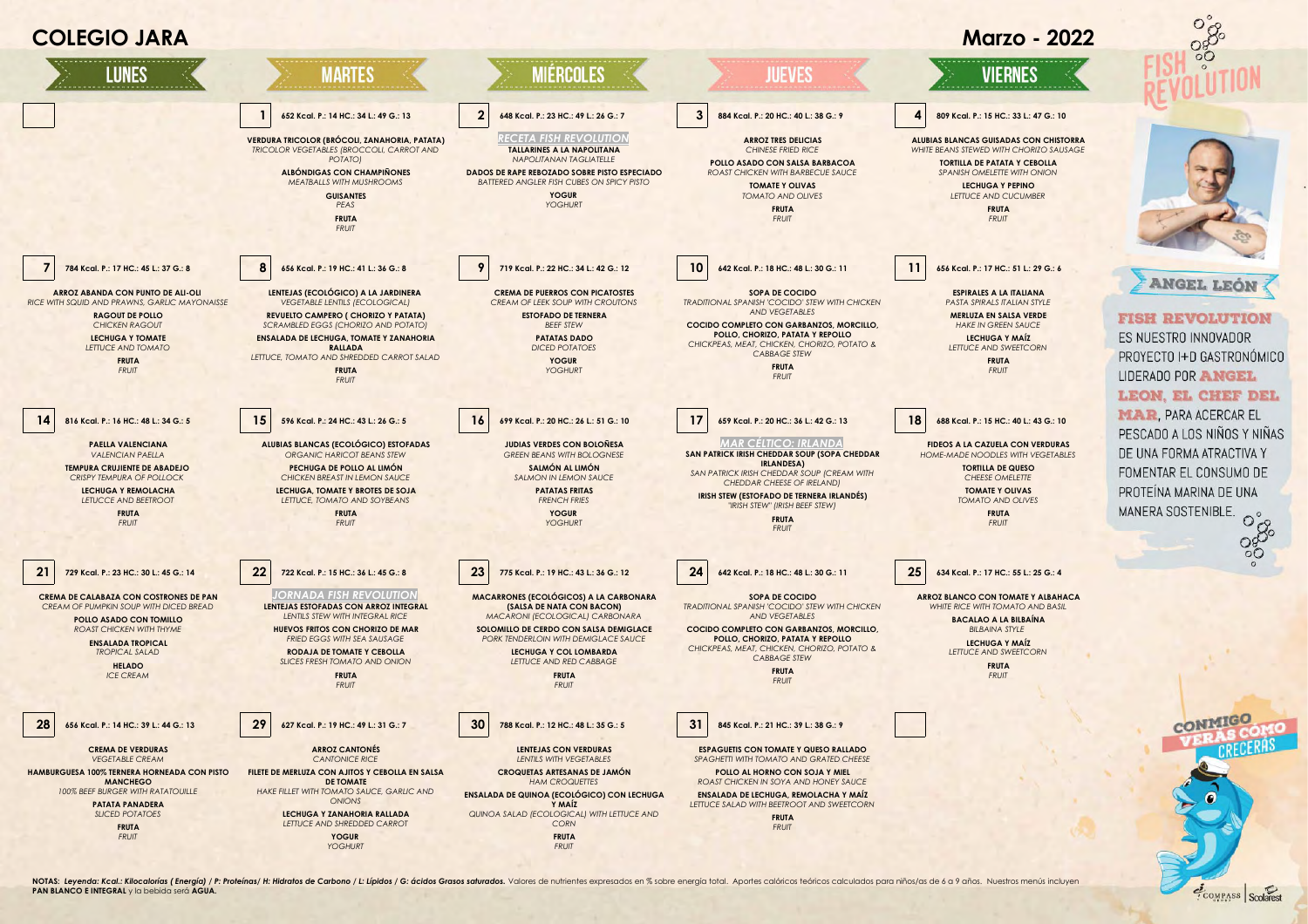COMPASS Scolarest



NOTAS: Levenda: Kcal: Kilocalorías ( Energía) / P: Proteínas/ H: Hidratos de Carbono / L: Lípidos / G: ácidos Grasos saturados. Valores de nutrientes expresados en % sobre energía total. Aportes calóricos teóricos calculad **PAN BLANCO E INTEGRAL** y la bebida será **AGUA.**